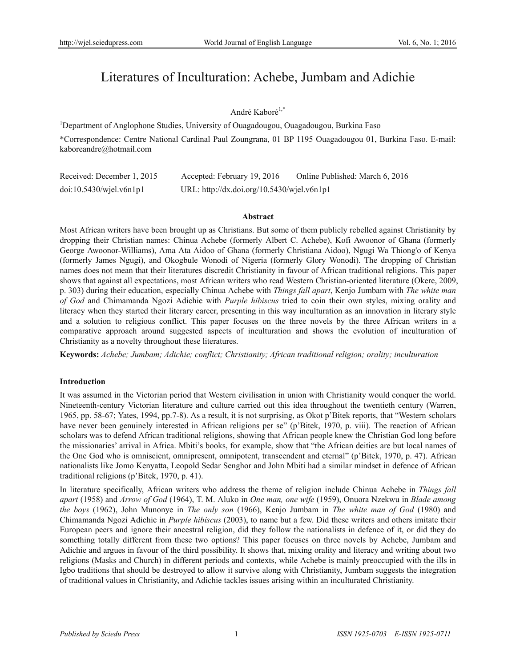# Literatures of Inculturation: Achebe, Jumbam and Adichie

# André Kaboré<sup>1,\*</sup>

<sup>1</sup>Department of Anglophone Studies, University of Ouagadougou, Ouagadougou, Burkina Faso

\*Correspondence: Centre National Cardinal Paul Zoungrana, 01 BP 1195 Ouagadougou 01, Burkina Faso. E-mail: kaboreandre@hotmail.com

| Received: December 1, 2015    | Accepted: February 19, 2016                | Online Published: March 6, 2016 |
|-------------------------------|--------------------------------------------|---------------------------------|
| $doi:10.5430/w$ jel. v6n 1 p1 | URL: http://dx.doi.org/10.5430/wjel.v6n1p1 |                                 |

#### **Abstract**

Most African writers have been brought up as Christians. But some of them publicly rebelled against Christianity by dropping their Christian names: Chinua Achebe (formerly Albert C. Achebe), Kofi Awoonor of Ghana (formerly George Awoonor-Williams), Ama Ata Aidoo of Ghana (formerly Christiana Aidoo), Ngugi Wa Thiong'o of Kenya (formerly James Ngugi), and Okogbule Wonodi of Nigeria (formerly Glory Wonodi). The dropping of Christian names does not mean that their literatures discredit Christianity in favour of African traditional religions. This paper shows that against all expectations, most African writers who read Western Christian-oriented literature (Okere, 2009, p. 303) during their education, especially Chinua Achebe with *Things fall apart*, Kenjo Jumbam with *The white man of God* and Chimamanda Ngozi Adichie with *Purple hibiscus* tried to coin their own styles, mixing orality and literacy when they started their literary career, presenting in this way inculturation as an innovation in literary style and a solution to religious conflict. This paper focuses on the three novels by the three African writers in a comparative approach around suggested aspects of inculturation and shows the evolution of inculturation of Christianity as a novelty throughout these literatures.

**Keywords:** *Achebe; Jumbam; Adichie; conflict; Christianity; African traditional religion; orality; inculturation*

## **Introduction**

It was assumed in the Victorian period that Western civilisation in union with Christianity would conquer the world. Nineteenth-century Victorian literature and culture carried out this idea throughout the twentieth century (Warren, 1965, pp. 58-67; Yates, 1994, pp.7-8). As a result, it is not surprising, as Okot p'Bitek reports, that "Western scholars have never been genuinely interested in African religions per se" (p'Bitek, 1970, p. viii). The reaction of African scholars was to defend African traditional religions, showing that African people knew the Christian God long before the missionaries' arrival in Africa. Mbiti's books, for example, show that "the African deities are but local names of the One God who is omniscient, omnipresent, omnipotent, transcendent and eternal" (p'Bitek, 1970, p. 47). African nationalists like Jomo Kenyatta, Leopold Sedar Senghor and John Mbiti had a similar mindset in defence of African traditional religions (p'Bitek, 1970, p. 41).

In literature specifically, African writers who address the theme of religion include Chinua Achebe in *Things fall apart* (1958) and *Arrow of God* (1964), T. M. Aluko in *One man, one wife* (1959), Onuora Nzekwu in *Blade among the boys* (1962), John Munonye in *The only son* (1966), Kenjo Jumbam in *The white man of God* (1980) and Chimamanda Ngozi Adichie in *Purple hibiscus* (2003), to name but a few. Did these writers and others imitate their European peers and ignore their ancestral religion, did they follow the nationalists in defence of it, or did they do something totally different from these two options? This paper focuses on three novels by Achebe, Jumbam and Adichie and argues in favour of the third possibility. It shows that, mixing orality and literacy and writing about two religions (Masks and Church) in different periods and contexts, while Achebe is mainly preoccupied with the ills in Igbo traditions that should be destroyed to allow it survive along with Christianity, Jumbam suggests the integration of traditional values in Christianity, and Adichie tackles issues arising within an inculturated Christianity.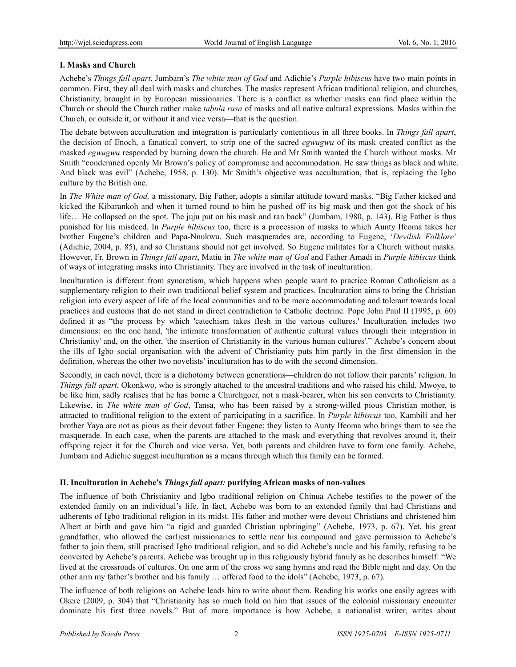## **I. Masks and Church**

Achebe's *Things fall apart*, Jumbam's *The white man of God* and Adichie's *Purple hibiscus* have two main points in common. First, they all deal with masks and churches. The masks represent African traditional religion, and churches, Christianity, brought in by European missionaries. There is a conflict as whether masks can find place within the Church or should the Church rather make *tabula rasa* of masks and all native cultural expressions. Masks within the Church, or outside it, or without it and vice versa—that is the question.

The debate between acculturation and integration is particularly contentious in all three books. In *Things fall apart*, the decision of Enoch, a fanatical convert, to strip one of the sacred *egwugwu* of its mask created conflict as the masked *egwugwu* responded by burning down the church. He and Mr Smith wanted the Church without masks. Mr Smith "condemned openly Mr Brown's policy of compromise and accommodation. He saw things as black and white. And black was evil" (Achebe, 1958, p. 130). Mr Smith's objective was acculturation, that is, replacing the Igbo culture by the British one.

In *The White man of God,* a missionary, Big Father, adopts a similar attitude toward masks. "Big Father kicked and kicked the Kibarankoh and when it turned round to him he pushed off its big mask and then got the shock of his life… He collapsed on the spot. The juju put on his mask and ran back" (Jumbam, 1980, p. 143). Big Father is thus punished for his misdeed. In *Purple hibiscus* too, there is a procession of masks to which Aunty Ifeoma takes her brother Eugene's children and Papa-Nnukwu. Such masquerades are, according to Eugene, '*Devilish Folklore*' (Adichie, 2004, p. 85), and so Christians should not get involved. So Eugene militates for a Church without masks. However, Fr. Brown in *Things fall apart*, Matiu in *The white man of God* and Father Amadi in *Purple hibiscus* think of ways of integrating masks into Christianity. They are involved in the task of inculturation.

Inculturation is different from syncretism, which happens when people want to practice Roman Catholicism as a supplementary religion to their own traditional belief system and practices. Inculturation aims to bring the Christian religion into every aspect of life of the local communities and to be more accommodating and tolerant towards local practices and customs that do not stand in direct contradiction to Catholic doctrine. Pope John Paul II (1995, p. 60) defined it as "the process by which 'catechism takes flesh in the various cultures.' Inculturation includes two dimensions: on the one hand, 'the intimate transformation of authentic cultural values through their integration in Christianity' and, on the other, 'the insertion of Christianity in the various human cultures'." Achebe's concern about the ills of Igbo social organisation with the advent of Christianity puts him partly in the first dimension in the definition, whereas the other two novelists' inculturation has to do with the second dimension.

Secondly, in each novel, there is a dichotomy between generations—children do not follow their parents' religion. In *Things fall apart*, Okonkwo, who is strongly attached to the ancestral traditions and who raised his child, Mwoye, to be like him, sadly realises that he has borne a Churchgoer, not a mask-bearer, when his son converts to Christianity. Likewise, in *The white man of God*, Tansa, who has been raised by a strong-willed pious Christian mother, is attracted to traditional religion to the extent of participating in a sacrifice. In *Purple hibiscus* too, Kambili and her brother Yaya are not as pious as their devout father Eugene; they listen to Aunty Ifeoma who brings them to see the masquerade. In each case, when the parents are attached to the mask and everything that revolves around it, their offspring reject it for the Church and vice versa. Yet, both parents and children have to form one family. Achebe, Jumbam and Adichie suggest inculturation as a means through which this family can be formed.

## **II. Inculturation in Achebe's** *Things fall apart:* **purifying African masks of non-values**

The influence of both Christianity and Igbo traditional religion on Chinua Achebe testifies to the power of the extended family on an individual's life. In fact, Achebe was born to an extended family that had Christians and adherents of Igbo traditional religion in its midst. His father and mother were devout Christians and christened him Albert at birth and gave him "a rigid and guarded Christian upbringing" (Achebe, 1973, p. 67). Yet, his great grandfather, who allowed the earliest missionaries to settle near his compound and gave permission to Achebe's father to join them, still practised Igbo traditional religion, and so did Achebe's uncle and his family, refusing to be converted by Achebe's parents. Achebe was brought up in this religiously hybrid family as he describes himself: "We lived at the crossroads of cultures. On one arm of the cross we sang hymns and read the Bible night and day. On the other arm my father's brother and his family … offered food to the idols" (Achebe, 1973, p. 67).

The influence of both religions on Achebe leads him to write about them. Reading his works one easily agrees with Okere (2009, p. 304) that "Christianity has so much hold on him that issues of the colonial missionary encounter dominate his first three novels." But of more importance is how Achebe, a nationalist writer, writes about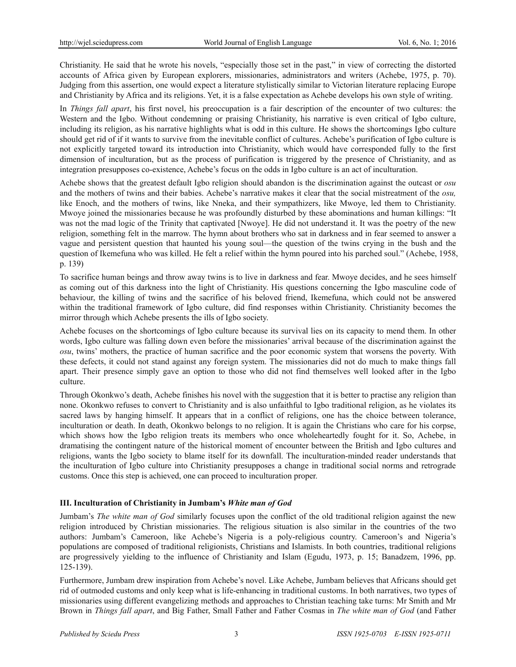Christianity. He said that he wrote his novels, "especially those set in the past," in view of correcting the distorted accounts of Africa given by European explorers, missionaries, administrators and writers (Achebe, 1975, p. 70). Judging from this assertion, one would expect a literature stylistically similar to Victorian literature replacing Europe and Christianity by Africa and its religions. Yet, it is a false expectation as Achebe develops his own style of writing.

In *Things fall apart*, his first novel, his preoccupation is a fair description of the encounter of two cultures: the Western and the Igbo. Without condemning or praising Christianity, his narrative is even critical of Igbo culture, including its religion, as his narrative highlights what is odd in this culture. He shows the shortcomings Igbo culture should get rid of if it wants to survive from the inevitable conflict of cultures. Achebe's purification of Igbo culture is not explicitly targeted toward its introduction into Christianity, which would have corresponded fully to the first dimension of inculturation, but as the process of purification is triggered by the presence of Christianity, and as integration presupposes co-existence, Achebe's focus on the odds in Igbo culture is an act of inculturation.

Achebe shows that the greatest default Igbo religion should abandon is the discrimination against the outcast or *osu* and the mothers of twins and their babies. Achebe's narrative makes it clear that the social mistreatment of the *osu,* like Enoch, and the mothers of twins, like Nneka, and their sympathizers, like Mwoye, led them to Christianity. Mwoye joined the missionaries because he was profoundly disturbed by these abominations and human killings: "It was not the mad logic of the Trinity that captivated [Nwoye]. He did not understand it. It was the poetry of the new religion, something felt in the marrow. The hymn about brothers who sat in darkness and in fear seemed to answer a vague and persistent question that haunted his young soul—the question of the twins crying in the bush and the question of Ikemefuna who was killed. He felt a relief within the hymn poured into his parched soul." (Achebe, 1958, p. 139)

To sacrifice human beings and throw away twins is to live in darkness and fear. Mwoye decides, and he sees himself as coming out of this darkness into the light of Christianity. His questions concerning the Igbo masculine code of behaviour, the killing of twins and the sacrifice of his beloved friend, Ikemefuna, which could not be answered within the traditional framework of Igbo culture, did find responses within Christianity. Christianity becomes the mirror through which Achebe presents the ills of Igbo society.

Achebe focuses on the shortcomings of Igbo culture because its survival lies on its capacity to mend them. In other words, Igbo culture was falling down even before the missionaries' arrival because of the discrimination against the *osu*, twins' mothers, the practice of human sacrifice and the poor economic system that worsens the poverty. With these defects, it could not stand against any foreign system. The missionaries did not do much to make things fall apart. Their presence simply gave an option to those who did not find themselves well looked after in the Igbo culture.

Through Okonkwo's death, Achebe finishes his novel with the suggestion that it is better to practise any religion than none. Okonkwo refuses to convert to Christianity and is also unfaithful to Igbo traditional religion, as he violates its sacred laws by hanging himself. It appears that in a conflict of religions, one has the choice between tolerance, inculturation or death. In death, Okonkwo belongs to no religion. It is again the Christians who care for his corpse, which shows how the Igbo religion treats its members who once wholeheartedly fought for it. So, Achebe, in dramatising the contingent nature of the historical moment of encounter between the British and Igbo cultures and religions, wants the Igbo society to blame itself for its downfall. The inculturation-minded reader understands that the inculturation of Igbo culture into Christianity presupposes a change in traditional social norms and retrograde customs. Once this step is achieved, one can proceed to inculturation proper.

## **III. Inculturation of Christianity in Jumbam's** *White man of God*

Jumbam's *The white man of God* similarly focuses upon the conflict of the old traditional religion against the new religion introduced by Christian missionaries. The religious situation is also similar in the countries of the two authors: Jumbam's Cameroon, like Achebe's Nigeria is a poly-religious country. Cameroon's and Nigeria's populations are composed of traditional religionists, Christians and Islamists. In both countries, traditional religions are progressively yielding to the influence of Christianity and Islam (Egudu, 1973, p. 15; Banadzem, 1996, pp. 125-139).

Furthermore, Jumbam drew inspiration from Achebe's novel. Like Achebe, Jumbam believes that Africans should get rid of outmoded customs and only keep what is life-enhancing in traditional customs. In both narratives, two types of missionaries using different evangelizing methods and approaches to Christian teaching take turns: Mr Smith and Mr Brown in *Things fall apart*, and Big Father, Small Father and Father Cosmas in *The white man of God* (and Father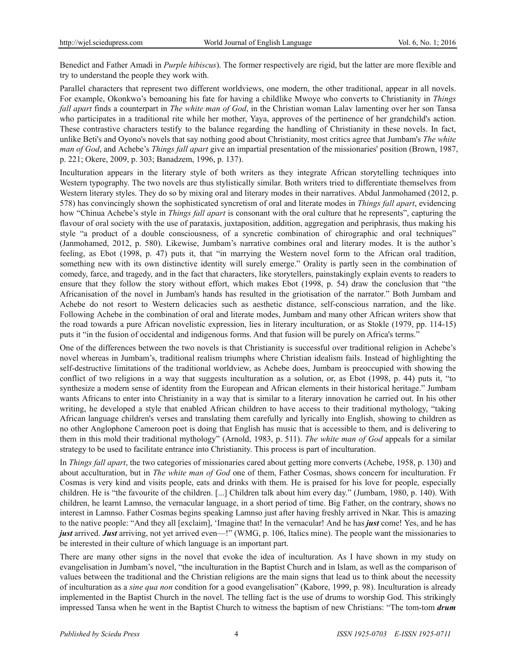Benedict and Father Amadi in *Purple hibiscus*). The former respectively are rigid, but the latter are more flexible and try to understand the people they work with.

Parallel characters that represent two different worldviews, one modern, the other traditional, appear in all novels. For example, Okonkwo's bemoaning his fate for having a childlike Mwoye who converts to Christianity in *Things fall apart* finds a counterpart in *The white man of God*, in the Christian woman Lalav lamenting over her son Tansa who participates in a traditional rite while her mother, Yaya, approves of the pertinence of her grandchild's action. These contrastive characters testify to the balance regarding the handling of Christianity in these novels. In fact, unlike Beti's and Oyono's novels that say nothing good about Christianity, most critics agree that Jumbam's *The white man of God*, and Achebe's *Things fall apart* give an impartial presentation of the missionaries' position (Brown, 1987, p. 221; Okere, 2009, p. 303; Banadzem, 1996, p. 137).

Inculturation appears in the literary style of both writers as they integrate African storytelling techniques into Western typography. The two novels are thus stylistically similar. Both writers tried to differentiate themselves from Western literary styles. They do so by mixing oral and literary modes in their narratives. Abdul Janmohamed (2012, p. 578) has convincingly shown the sophisticated syncretism of oral and literate modes in *Things fall apart*, evidencing how "Chinua Achebe's style in *Things fall apart* is consonant with the oral culture that he represents", capturing the flavour of oral society with the use of parataxis, juxtaposition, addition, aggregation and periphrasis, thus making his style "a product of a double consciousness, of a syncretic combination of chirographic and oral techniques" (Janmohamed, 2012, p. 580). Likewise, Jumbam's narrative combines oral and literary modes. It is the author's feeling, as Ebot (1998, p. 47) puts it, that "in marrying the Western novel form to the African oral tradition, something new with its own distinctive identity will surely emerge." Orality is partly seen in the combination of comedy, farce, and tragedy, and in the fact that characters, like storytellers, painstakingly explain events to readers to ensure that they follow the story without effort, which makes Ebot (1998, p. 54) draw the conclusion that "the Africanisation of the novel in Jumbam's hands has resulted in the griotisation of the narrator." Both Jumbam and Achebe do not resort to Western delicacies such as aesthetic distance, self-conscious narration, and the like. Following Achebe in the combination of oral and literate modes, Jumbam and many other African writers show that the road towards a pure African novelistic expression, lies in literary inculturation, or as Stokle (1979, pp. 114-15) puts it "in the fusion of occidental and indigenous forms. And that fusion will be purely on Africa's terms."

One of the differences between the two novels is that Christianity is successful over traditional religion in Achebe's novel whereas in Jumbam's, traditional realism triumphs where Christian idealism fails. Instead of highlighting the self-destructive limitations of the traditional worldview, as Achebe does, Jumbam is preoccupied with showing the conflict of two religions in a way that suggests inculturation as a solution, or, as Ebot (1998, p. 44) puts it, "to synthesize a modern sense of identity from the European and African elements in their historical heritage." Jumbam wants Africans to enter into Christianity in a way that is similar to a literary innovation he carried out. In his other writing, he developed a style that enabled African children to have access to their traditional mythology, "taking African language children's verses and translating them carefully and lyrically into English, showing to children as no other Anglophone Cameroon poet is doing that English has music that is accessible to them, and is delivering to them in this mold their traditional mythology" (Arnold, 1983, p. 511). *The white man of God* appeals for a similar strategy to be used to facilitate entrance into Christianity. This process is part of inculturation.

In *Things fall apart*, the two categories of missionaries cared about getting more converts (Achebe, 1958, p. 130) and about acculturation, but in *The white man of God* one of them, Father Cosmas, shows concern for inculturation. Fr Cosmas is very kind and visits people, eats and drinks with them. He is praised for his love for people, especially children. He is "the favourite of the children. [...] Children talk about him every day." (Jumbam, 1980, p. 140). With children, he learnt Lamnso, the vernacular language, in a short period of time. Big Father, on the contrary, shows no interest in Lamnso. Father Cosmas begins speaking Lamnso just after having freshly arrived in Nkar. This is amazing to the native people: "And they all [exclaim], 'Imagine that! In the vernacular! And he has *just* come! Yes, and he has *just* arrived. *Just* arriving, not yet arrived even—!" (WMG, p. 106, Italics mine). The people want the missionaries to be interested in their culture of which language is an important part.

There are many other signs in the novel that evoke the idea of inculturation. As I have shown in my study on evangelisation in Jumbam's novel, "the inculturation in the Baptist Church and in Islam, as well as the comparison of values between the traditional and the Christian religions are the main signs that lead us to think about the necessity of inculturation as a *sine qua non* condition for a good evangelisation" (Kabore, 1999, p. 98). Inculturation is already implemented in the Baptist Church in the novel. The telling fact is the use of drums to worship God. This strikingly impressed Tansa when he went in the Baptist Church to witness the baptism of new Christians: "The tom-tom *drum*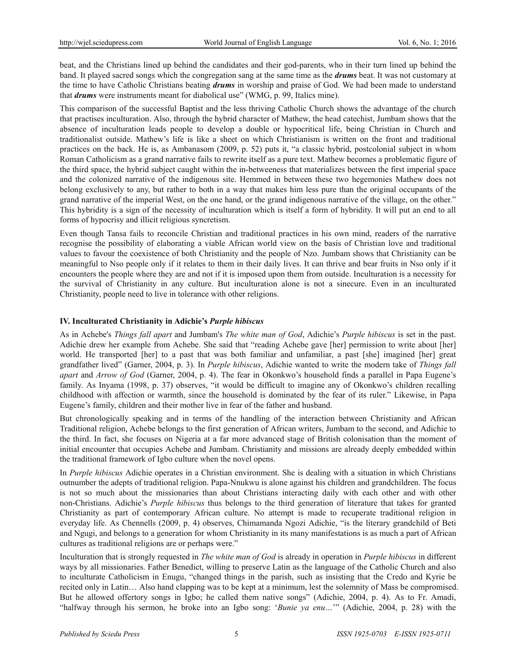beat, and the Christians lined up behind the candidates and their god-parents, who in their turn lined up behind the band. It played sacred songs which the congregation sang at the same time as the *drums* beat. It was not customary at the time to have Catholic Christians beating *drums* in worship and praise of God. We had been made to understand that *drums* were instruments meant for diabolical use" (WMG, p. 99, Italics mine).

This comparison of the successful Baptist and the less thriving Catholic Church shows the advantage of the church that practises inculturation. Also, through the hybrid character of Mathew, the head catechist, Jumbam shows that the absence of inculturation leads people to develop a double or hypocritical life, being Christian in Church and traditionalist outside. Mathew's life is like a sheet on which Christianism is written on the front and traditional practices on the back. He is, as Ambanasom (2009, p. 52) puts it, "a classic hybrid, postcolonial subject in whom Roman Catholicism as a grand narrative fails to rewrite itself as a pure text. Mathew becomes a problematic figure of the third space, the hybrid subject caught within the in-betweeness that materializes between the first imperial space and the colonized narrative of the indigenous site. Hemmed in between these two hegemonies Mathew does not belong exclusively to any, but rather to both in a way that makes him less pure than the original occupants of the grand narrative of the imperial West, on the one hand, or the grand indigenous narrative of the village, on the other." This hybridity is a sign of the necessity of inculturation which is itself a form of hybridity. It will put an end to all forms of hypocrisy and illicit religious syncretism.

Even though Tansa fails to reconcile Christian and traditional practices in his own mind, readers of the narrative recognise the possibility of elaborating a viable African world view on the basis of Christian love and traditional values to favour the coexistence of both Christianity and the people of Nzo. Jumbam shows that Christianity can be meaningful to Nso people only if it relates to them in their daily lives. It can thrive and bear fruits in Nso only if it encounters the people where they are and not if it is imposed upon them from outside. Inculturation is a necessity for the survival of Christianity in any culture. But inculturation alone is not a sinecure. Even in an inculturated Christianity, people need to live in tolerance with other religions.

## **IV. Inculturated Christianity in Adichie's** *Purple hibiscus*

As in Achebe's *Things fall apart* and Jumbam's *The white man of God*, Adichie's *Purple hibiscus* is set in the past. Adichie drew her example from Achebe. She said that "reading Achebe gave [her] permission to write about [her] world. He transported [her] to a past that was both familiar and unfamiliar, a past [she] imagined [her] great grandfather lived" (Garner, 2004, p. 3). In *Purple hibiscus*, Adichie wanted to write the modern take of *Things fall apart* and *Arrow of God* (Garner, 2004, p. 4). The fear in Okonkwo's household finds a parallel in Papa Eugene's family. As Inyama (1998, p. 37) observes, "it would be difficult to imagine any of Okonkwo's children recalling childhood with affection or warmth, since the household is dominated by the fear of its ruler." Likewise, in Papa Eugene's family, children and their mother live in fear of the father and husband.

But chronologically speaking and in terms of the handling of the interaction between Christianity and African Traditional religion, Achebe belongs to the first generation of African writers, Jumbam to the second, and Adichie to the third. In fact, she focuses on Nigeria at a far more advanced stage of British colonisation than the moment of initial encounter that occupies Achebe and Jumbam. Christianity and missions are already deeply embedded within the traditional framework of Igbo culture when the novel opens.

In *Purple hibiscus* Adichie operates in a Christian environment. She is dealing with a situation in which Christians outnumber the adepts of traditional religion. Papa-Nnukwu is alone against his children and grandchildren. The focus is not so much about the missionaries than about Christians interacting daily with each other and with other non-Christians. Adichie's *Purple hibiscus* thus belongs to the third generation of literature that takes for granted Christianity as part of contemporary African culture. No attempt is made to recuperate traditional religion in everyday life. As Chennells (2009, p. 4) observes, Chimamanda Ngozi Adichie, "is the literary grandchild of Beti and Ngugi, and belongs to a generation for whom Christianity in its many manifestations is as much a part of African cultures as traditional religions are or perhaps were."

Inculturation that is strongly requested in *The white man of God* is already in operation in *Purple hibiscus* in different ways by all missionaries. Father Benedict, willing to preserve Latin as the language of the Catholic Church and also to inculturate Catholicism in Enugu, "changed things in the parish, such as insisting that the Credo and Kyrie be recited only in Latin… Also hand clapping was to be kept at a minimum, lest the solemnity of Mass be compromised. But he allowed offertory songs in Igbo; he called them native songs" (Adichie, 2004, p. 4). As to Fr. Amadi, "halfway through his sermon, he broke into an Igbo song: '*Bunie ya enu…*'" (Adichie, 2004, p. 28) with the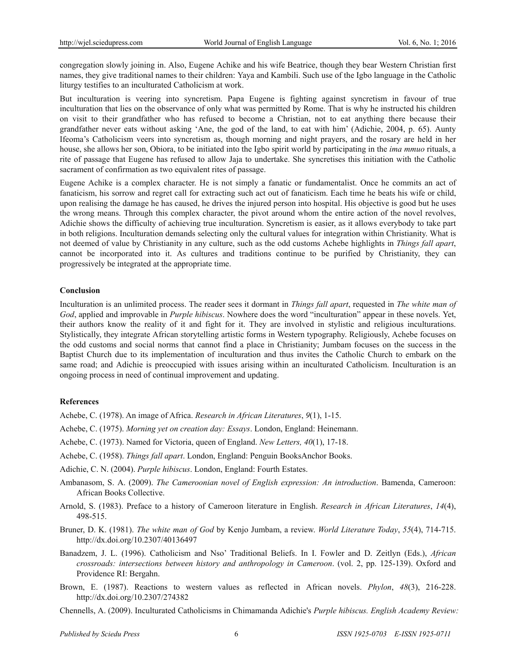congregation slowly joining in. Also, Eugene Achike and his wife Beatrice, though they bear Western Christian first names, they give traditional names to their children: Yaya and Kambili. Such use of the Igbo language in the Catholic liturgy testifies to an inculturated Catholicism at work.

But inculturation is veering into syncretism. Papa Eugene is fighting against syncretism in favour of true inculturation that lies on the observance of only what was permitted by Rome. That is why he instructed his children on visit to their grandfather who has refused to become a Christian, not to eat anything there because their grandfather never eats without asking 'Ane, the god of the land, to eat with him' (Adichie, 2004, p. 65). Aunty Ifeoma's Catholicism veers into syncretism as, though morning and night prayers, and the rosary are held in her house, she allows her son, Obiora, to be initiated into the Igbo spirit world by participating in the *ima mmuo* rituals, a rite of passage that Eugene has refused to allow Jaja to undertake. She syncretises this initiation with the Catholic sacrament of confirmation as two equivalent rites of passage.

Eugene Achike is a complex character. He is not simply a fanatic or fundamentalist. Once he commits an act of fanaticism, his sorrow and regret call for extracting such act out of fanaticism. Each time he beats his wife or child, upon realising the damage he has caused, he drives the injured person into hospital. His objective is good but he uses the wrong means. Through this complex character, the pivot around whom the entire action of the novel revolves, Adichie shows the difficulty of achieving true inculturation. Syncretism is easier, as it allows everybody to take part in both religions. Inculturation demands selecting only the cultural values for integration within Christianity. What is not deemed of value by Christianity in any culture, such as the odd customs Achebe highlights in *Things fall apart*, cannot be incorporated into it. As cultures and traditions continue to be purified by Christianity, they can progressively be integrated at the appropriate time.

#### **Conclusion**

Inculturation is an unlimited process. The reader sees it dormant in *Things fall apart*, requested in *The white man of God*, applied and improvable in *Purple hibiscus*. Nowhere does the word "inculturation" appear in these novels. Yet, their authors know the reality of it and fight for it. They are involved in stylistic and religious inculturations. Stylistically, they integrate African storytelling artistic forms in Western typography. Religiously, Achebe focuses on the odd customs and social norms that cannot find a place in Christianity; Jumbam focuses on the success in the Baptist Church due to its implementation of inculturation and thus invites the Catholic Church to embark on the same road; and Adichie is preoccupied with issues arising within an inculturated Catholicism. Inculturation is an ongoing process in need of continual improvement and updating.

## **References**

Achebe, C. (1978). An image of Africa. *Research in African Literatures*, *9*(1), 1-15.

- Achebe, C. (1975). *Morning yet on creation day: Essays*. London, England: Heinemann.
- Achebe, C. (1973). Named for Victoria, queen of England. *New Letters, 40*(1), 17-18.
- Achebe, C. (1958). *Things fall apart*. London, England: Penguin BooksAnchor Books.
- Adichie, C. N. (2004). *Purple hibiscus*. London, England: Fourth Estates.
- Ambanasom, S. A. (2009). *The Cameroonian novel of English expression: An introduction*. Bamenda, Cameroon: African Books Collective.
- Arnold, S. (1983). Preface to a history of Cameroon literature in English. *Research in African Literatures*, *14*(4), 498-515.
- Bruner, D. K. (1981). *The white man of God* by Kenjo Jumbam, a review. *World Literature Today*, *55*(4), 714-715. http://dx.doi.org/10.2307/40136497
- Banadzem, J. L. (1996). Catholicism and Nso' Traditional Beliefs. In I. Fowler and D. Zeitlyn (Eds.), *African crossroads: intersections between history and anthropology in Cameroon*. (vol. 2, pp. 125-139). Oxford and Providence RI: Bergahn.
- Brown, E. (1987). Reactions to western values as reflected in African novels. *Phylon*, *48*(3), 216-228. http://dx.doi.org/10.2307/274382
- Chennells, A. (2009). Inculturated Catholicisms in Chimamanda Adichie's *Purple hibiscus. English Academy Review:*